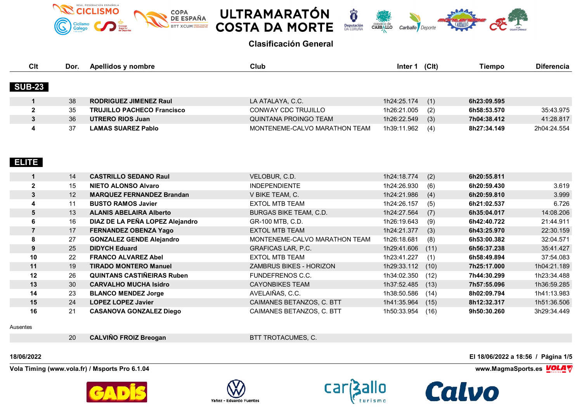





| Clt            | Dor. | Apellidos y nombre                | Club                          | Inter 1     | (Clt) | Tiempo      | <b>Diferencia</b> |
|----------------|------|-----------------------------------|-------------------------------|-------------|-------|-------------|-------------------|
| <b>SUB-23</b>  |      |                                   |                               |             |       |             |                   |
| $\mathbf{1}$   | 38   | <b>RODRIGUEZ JIMENEZ Raul</b>     | LA ATALAYA, C.C.              | 1h24:25.174 | (1)   | 6h23:09.595 |                   |
| $\mathbf{2}$   | 35   | <b>TRUJILLO PACHECO Francisco</b> | CONWAY CDC TRUJILLO           | 1h26:21.005 | (2)   | 6h58:53.570 | 35:43.975         |
| $\mathbf{3}$   | 36   | <b>UTRERO RIOS Juan</b>           | <b>QUINTANA PROINGO TEAM</b>  | 1h26:22.549 | (3)   | 7h04:38.412 | 41:28.817         |
| 4              | 37   | <b>LAMAS SUAREZ Pablo</b>         | MONTENEME-CALVO MARATHON TEAM | 1h39:11.962 | (4)   | 8h27:34.149 | 2h04:24.554       |
| ELITE          |      |                                   |                               |             |       |             |                   |
| $\mathbf{1}$   | 14   | <b>CASTRILLO SEDANO Raul</b>      | VELOBUR, C.D.                 | 1h24:18.774 | (2)   | 6h20:55.811 |                   |
| $\mathbf 2$    | 15   | <b>NIETO ALONSO Alvaro</b>        | <b>INDEPENDIENTE</b>          | 1h24:26.930 | (6)   | 6h20:59.430 | 3.619             |
| $\mathbf{3}$   | 12   | <b>MARQUEZ FERNANDEZ Brandan</b>  | V BIKE TEAM, C.               | 1h24:21.986 | (4)   | 6h20:59.810 | 3.999             |
| 4              | 11   | <b>BUSTO RAMOS Javier</b>         | <b>EXTOL MTB TEAM</b>         | 1h24:26.157 | (5)   | 6h21:02.537 | 6.726             |
| 5              | 13   | <b>ALANIS ABELAIRA Alberto</b>    | <b>BURGAS BIKE TEAM, C.D.</b> | 1h24:27.564 | (7)   | 6h35:04.017 | 14:08.206         |
| 6              | 16   | DIAZ DE LA PEÑA LOPEZ Alejandro   | GR-100 MTB, C.D.              | 1h26:19.643 | (9)   | 6h42:40.722 | 21:44.911         |
| $\overline{7}$ | 17   | <b>FERNANDEZ OBENZA Yago</b>      | <b>EXTOL MTB TEAM</b>         | 1h24:21.377 | (3)   | 6h43:25.970 | 22:30.159         |
| 8              | 27   | <b>GONZALEZ GENDE Alejandro</b>   | MONTENEME-CALVO MARATHON TEAM | 1h26:18.681 | (8)   | 6h53:00.382 | 32:04.571         |
| 9              | 25   | <b>DIDYCH Eduard</b>              | <b>GRAFICAS LAR, P.C.</b>     | 1h29:41.606 | (11)  | 6h56:37.238 | 35:41.427         |
| 10             | 22   | <b>FRANCO ALVAREZ Abel</b>        | <b>EXTOL MTB TEAM</b>         | 1h23:41.227 | (1)   | 6h58:49.894 | 37:54.083         |
| 11             | 19   | <b>TIRADO MONTERO Manuel</b>      | ZAMBRUS BIKES - HORIZON       | 1h29:33.112 | (10)  | 7h25:17.000 | 1h04:21.189       |
| 12             | 26   | <b>QUINTANS CASTIÑEIRAS Ruben</b> | FUNDEFRENOS C.C.              | 1h34:02.350 | (12)  | 7h44:30.299 | 1h23:34.488       |
| 13             | 30   | <b>CARVALHO MUCHA Isidro</b>      | <b>CAYONBIKES TEAM</b>        | 1h37:52.485 | (13)  | 7h57:55.096 | 1h36:59.285       |
| 14             | 23   | <b>BLANCO MENDEZ Jorge</b>        | AVELAIÑAS, C.C.               | 1h38:50.586 | (14)  | 8h02:09.794 | 1h41:13.983       |
| 15             | 24   | <b>LOPEZ LOPEZ Javier</b>         | CAIMANES BETANZOS, C. BTT     | 1h41:35.964 | (15)  | 8h12:32.317 | 1h51:36.506       |
| 16             | 21   | <b>CASANOVA GONZALEZ Diego</b>    | CAIMANES BETANZOS, C. BTT     | 1h50:33.954 | (16)  | 9h50:30.260 | 3h29:34.449       |

Ausentes

**CALVIÑO FROIZ Breogan** BTT TROTACUMES, C.

**Vola Timing (www.vola.fr) / Msports Pro 6.1.04 www.MagmaSports.es VOLA** 









**18/06/2022 El 18/06/2022 a 18:56 / Página 1/5**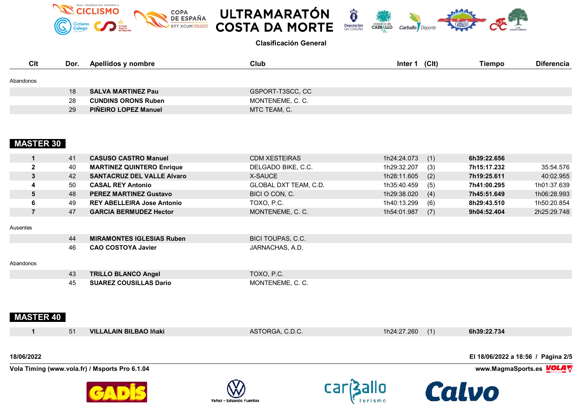







| <b>Clt</b> | Dor. | Apellidos y nombre          | Club             | (C <sub>l</sub> )<br>Inter 1 | <b>Tiempo</b> | <b>Diferencia</b> |
|------------|------|-----------------------------|------------------|------------------------------|---------------|-------------------|
| Abandonos  |      |                             |                  |                              |               |                   |
|            | 18   | <b>SALVA MARTINEZ Pau</b>   | GSPORT-T3SCC, CC |                              |               |                   |
|            | 28   | <b>CUNDINS ORONS Ruben</b>  | MONTENEME, C. C. |                              |               |                   |
|            | 29   | <b>PIÑEIRO LOPEZ Manuel</b> | MTC TEAM, C.     |                              |               |                   |

# **MASTER 30**

| 41 | <b>CASUSO CASTRO Manuel</b>       | <b>CDM XESTEIRAS</b>  | 1h24:24.073<br>(1) | 6h39:22.656 |             |
|----|-----------------------------------|-----------------------|--------------------|-------------|-------------|
| 40 | <b>MARTINEZ QUINTERO Enrique</b>  | DELGADO BIKE, C.C.    | 1h29:32.207<br>(3) | 7h15:17.232 | 35:54.576   |
| 42 | <b>SANTACRUZ DEL VALLE Alvaro</b> | X-SAUCE               | (2)<br>1h28:11.605 | 7h19:25.611 | 40:02.955   |
| 50 | <b>CASAL REY Antonio</b>          | GLOBAL DXT TEAM, C.D. | 1h35:40.459<br>(5) | 7h41:00.295 | 1h01:37.639 |
| 48 | <b>PEREZ MARTINEZ Gustavo</b>     | BICI O CON, C.        | 1h29:38.020<br>(4) | 7h45:51.649 | 1h06:28.993 |
| 49 | <b>REY ABELLEIRA Jose Antonio</b> | TOXO. P.C.            | 1h40:13.299<br>(6) | 8h29:43.510 | 1h50:20.854 |
| 47 | <b>GARCIA BERMUDEZ Hector</b>     | MONTENEME, C. C.      | (7)<br>1h54:01.987 | 9h04:52.404 | 2h25:29.748 |

### Ausentes

| 44 | <b>MIRAMONTES IGLESIAS Ruben</b> | BICI TOUPAS, C.C. |
|----|----------------------------------|-------------------|
| 46 | <b>CAO COSTOYA Javier</b>        | JARNACHAS, A.D.   |

## Abandonos

| 40. | <b>TRILLO BLANCO Angel</b>    | TOXO, P.C.      |
|-----|-------------------------------|-----------------|
|     | <b>SUAREZ COUSILLAS Dario</b> | MONTENEME, C. C |

# **MASTER 40**

|            | 51 | VILLALAIN BILBAO Iñaki                         | ASTORGA, C.D.C. | $1h24:27.260$ (1) | 6h39:22.734                        |
|------------|----|------------------------------------------------|-----------------|-------------------|------------------------------------|
| 18/06/2022 |    |                                                |                 |                   | El 18/06/2022 a 18:56 / Página 2/5 |
|            |    | Vola Timing (www.vola.fr) / Msports Pro 6.1.04 |                 |                   | www.MagmaSports.es <u>VOLA</u> ∀   |





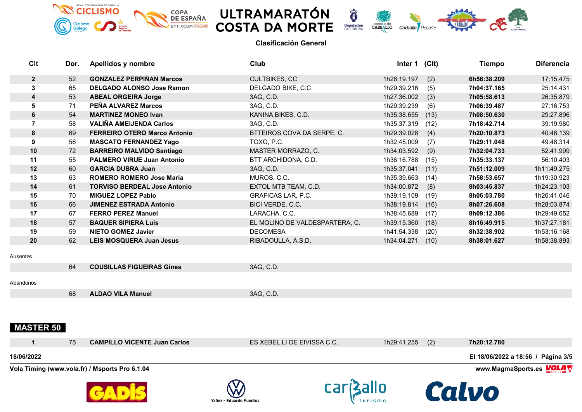







| Clt              | Dor. | Apellidos y nombre                             | Club                           | Inter 1 (CIt) |      | <b>Tiempo</b>                      | <b>Diferencia</b> |
|------------------|------|------------------------------------------------|--------------------------------|---------------|------|------------------------------------|-------------------|
| $\overline{2}$   | 52   | <b>GONZALEZ PERPIÑAN Marcos</b>                | <b>CULTBIKES, CC</b>           | 1h26:19.197   | (2)  | 6h56:38.209                        | 17:15.475         |
| 3                | 65   | <b>DELGADO ALONSO Jose Ramon</b>               | DELGADO BIKE, C.C.             | 1h29:39.216   | (5)  | 7h04:37.165                        | 25:14.431         |
| 4                | 53   | <b>ABEAL ORGEIRA Jorge</b>                     | 3AG, C.D.                      | 1h27:36.002   | (3)  | 7h05:58.613                        | 26:35.879         |
| 5                | 71   | PEÑA ALVAREZ Marcos                            | 3AG, C.D.                      | 1h29:39.239   | (6)  | 7h06:39.487                        | 27:16.753         |
| 6                | 54   | <b>MARTINEZ MONEO Ivan</b>                     | KANINA BIKES, C.D.             | 1h35:38.655   | (13) | 7h08:50.630                        | 29:27.896         |
| $\overline{7}$   | 58   | <b>VALIÑA AMEIJENDA Carlos</b>                 | 3AG, C.D.                      | 1h35:37.319   | (12) | 7h18:42.714                        | 39:19.980         |
| 8                | 69   | <b>FERREIRO OTERO Marco Antonio</b>            | BTTEIROS COVA DA SERPE, C.     | 1h29:39.028   | (4)  | 7h20:10.873                        | 40:48.139         |
| 9                | 56   | <b>MASCATO FERNANDEZ Yago</b>                  | TOXO, P.C.                     | 1h32:45.009   | (7)  | 7h29:11.048                        | 49:48.314         |
| 10               | 72   | <b>BARREIRO MALVIDO Santiago</b>               | MASTER MORRAZO, C.             | 1h34:03.592   | (9)  | 7h32:04.733                        | 52:41.999         |
| 11               | 55   | <b>PALMERO VIRUE Juan Antonio</b>              | BTT ARCHIDONA, C.D.            | 1h36:16.788   | (15) | 7h35:33.137                        | 56:10.403         |
| 12               | 60   | <b>GARCIA DUBRA Juan</b>                       | 3AG, C.D.                      | 1h35:37.041   | (11) | 7h51:12.009                        | 1h11:49.275       |
| 13               | 63   | <b>ROMERO ROMERO Jose Maria</b>                | MUROS, C.C.                    | 1h35:39.663   | (14) | 7h58:53.657                        | 1h19:30.923       |
| 14               | 61   | <b>TORVISO BERDEAL Jose Antonio</b>            | EXTOL MTB TEAM, C.D.           | 1h34:00.872   | (8)  | 8h03:45.837                        | 1h24:23.103       |
| 15               | 70   | <b>MIGUEZ LOPEZ Pablo</b>                      | <b>GRAFICAS LAR, P.C.</b>      | 1h39:19.109   | (19) | 8h06:03.780                        | 1h26:41.046       |
| 16               | 66   | <b>JIMENEZ ESTRADA Antonio</b>                 | BICI VERDE, C.C.               | 1h38:19.814   | (16) | 8h07:26.608                        | 1h28:03.874       |
| 17               | 67   | <b>FERRO PEREZ Manuel</b>                      | LARACHA, C.C.                  | 1h38:45.689   | (17) | 8h09:12.386                        | 1h29:49.652       |
| 18               | 57   | <b>BAQUER SIPIERA Luis</b>                     | EL MOLINO DE VALDESPARTERA, C. | 1h39:15.360   | (18) | 8h16:49.915                        | 1h37:27.181       |
| 19               | 59   | <b>NIETO GOMEZ Javier</b>                      | <b>DECOMESA</b>                | 1h41:54.338   | (20) | 8h32:38.902                        | 1h53:16.168       |
| 20               | 62   | <b>LEIS MOSQUERA Juan Jesus</b>                | RIBADOULLA, A.S.D.             | 1h34:04.271   | (10) | 8h38:01.627                        | 1h58:38.893       |
| Ausentes         |      |                                                |                                |               |      |                                    |                   |
|                  | 64   | <b>COUSILLAS FIGUEIRAS Gines</b>               | 3AG, C.D.                      |               |      |                                    |                   |
| Abandonos        |      |                                                |                                |               |      |                                    |                   |
|                  | 68   | <b>ALDAO VILA Manuel</b>                       | 3AG, C.D.                      |               |      |                                    |                   |
| <b>MASTER 50</b> |      |                                                |                                |               |      |                                    |                   |
| $\mathbf 1$      | 75   | <b>CAMPILLO VICENTE Juan Carlos</b>            | ES XEBEL.LI DE EIVISSA C.C.    | 1h29:41.255   | (2)  | 7h20:12.780                        |                   |
| 18/06/2022       |      |                                                |                                |               |      | El 18/06/2022 a 18:56 / Página 3/5 |                   |
|                  |      | Vola Timing (www.vola.fr) / Msports Pro 6.1.04 |                                |               |      | www.MagmaSports.es <b>VOLA</b>     |                   |







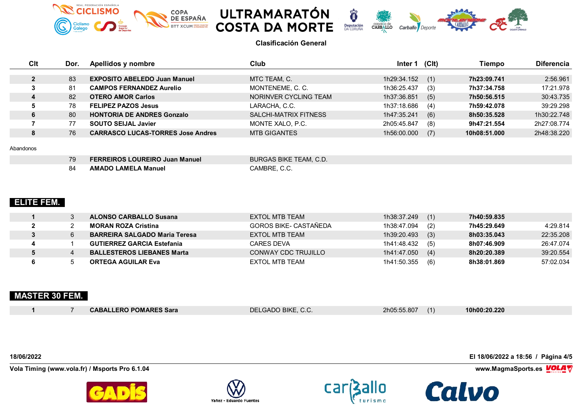







| Clt | Dor. | Apellidos y nombre                       | Club                  | Inter 1     | (C <sub>l</sub> ) | Tiempo       | <b>Diferencia</b> |
|-----|------|------------------------------------------|-----------------------|-------------|-------------------|--------------|-------------------|
|     | 83   | <b>EXPOSITO ABELEDO Juan Manuel</b>      | MTC TEAM, C.          | 1h29:34.152 | (1)               | 7h23:09.741  | 2:56.961          |
|     | 81   | <b>CAMPOS FERNANDEZ Aurelio</b>          | MONTENEME, C. C.      | 1h36:25.437 | (3)               | 7h37:34.758  | 17:21.978         |
|     | 82   | <b>OTERO AMOR Carlos</b>                 | NORINVER CYCLING TEAM | 1h37:36.851 | (5)               | 7h50:56.515  | 30:43.735         |
|     | 78   | <b>FELIPEZ PAZOS Jesus</b>               | LARACHA, C.C.         | 1h37:18.686 | (4)               | 7h59:42.078  | 39:29.298         |
| o.  | 80   | <b>HONTORIA DE ANDRES Gonzalo</b>        | SALCHI-MATRIX FITNESS | 1h47:35.241 | (6)               | 8h50:35.528  | 1h30:22.748       |
|     | 77   | <b>SOUTO SEIJAL Javier</b>               | MONTE XALO, P.C.      | 2h05:45.847 | (8)               | 9h47:21.554  | 2h27:08.774       |
| o   | 76   | <b>CARRASCO LUCAS-TORRES Jose Andres</b> | <b>MTB GIGANTES</b>   | 1h56:00.000 | (7)               | 10h08:51.000 | 2h48:38.220       |

### Abandonos

| 79 | <b>FERREIROS LOUREIRO Juan Manuel</b> | BURGAS BIKE TEAM, C.D.\ |
|----|---------------------------------------|-------------------------|
| 84 | <b>AMADO LAMELA Manuel</b>            | CAMBRE. C.C.            |

## **ELITE FEM.**

|  | <b>ALONSO CARBALLO Susana</b>        | EXTOL MTB TEAM               | 1h38:37.249<br>(1) | 7h40:59.835 |           |
|--|--------------------------------------|------------------------------|--------------------|-------------|-----------|
|  | <b>MORAN ROZA Cristina</b>           | <b>GOROS BIKE- CASTAÑEDA</b> | 1h38:47.094<br>(2) | 7h45:29.649 | 4:29.814  |
|  | <b>BARREIRA SALGADO Maria Teresa</b> | EXTOL MTB TEAM               | (3)<br>1h39:20.493 | 8h03:35.043 | 22:35.208 |
|  | <b>GUTIERREZ GARCIA Estefania</b>    | CARES DEVA                   | (5)<br>1h41:48.432 | 8h07:46.909 | 26:47.074 |
|  | <b>BALLESTEROS LIEBANES Marta</b>    | CONWAY CDC TRUJILLO          | (4)<br>1h41:47.050 | 8h20:20.389 | 39:20.554 |
|  | <b>ORTEGA AGUILAR Eva</b>            | EXTOL MTB TEAM               | 1h41:50.355<br>(6) | 8h38:01.869 | 57:02.034 |

# **MASTER 30 FEM.**

|  | <b>CABALLERO POMARES Sara</b> | DELGADO BIKE, C.C. | 2h05:55.807 | 10h00:20.220 |
|--|-------------------------------|--------------------|-------------|--------------|

**Vola Timing (www.vola.fr) / Msports Pro 6.1.04 www.MagmaSports.es VOLA** 









**18/06/2022 El 18/06/2022 a 18:56 / Página 4/5**